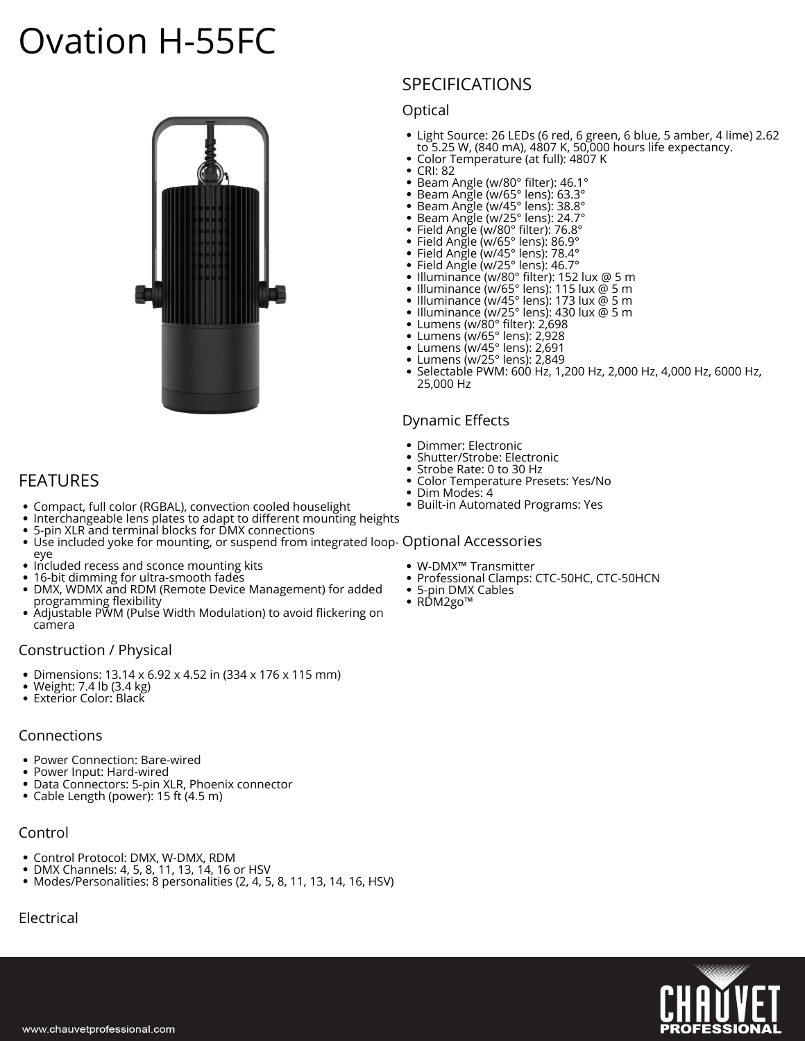# **Ovation H-55FC**



# **FEATURES**

- Compact, full color (RGBAL), convection cooled houselight
- Interchangeable lens plates to adapt to different mounting heights
- 5-pin XLR and terminal blocks for DMX connections
- Use included yoke for mounting, or suspend from integrated loop-**Optional Accessories** eye
- Included recess and sconce mounting kits
- 16-bit dimming for ultra-smooth fades
- DMX, WDMX and RDM (Remote Device Management) for added programming flexibility
- Adjustable PWM (Pulse Width Modulation) to avoid flickering on camera

#### **Construction / Physical**

- Dimensions: 13.14 x 6.92 x 4.52 in (334 x 176 x 115 mm)
- Weight: 7.4 lb (3.4 kg)  $\bullet$
- Exterior Color: Black

#### **Connections**

- Power Connection: Bare-wired
- Power Input: Hard-wired
- Data Connectors: 5-pin XLR, Phoenix connector
- Cable Length (power): 15 ft (4.5 m)

# **Control**

- Control Protocol: DMX, W-DMX, RDM
- DMX Channels: 4, 5, 8, 11, 13, 14, 16 or HSV
- Modes/Personalities: 8 personalities (2, 4, 5, 8, 11, 13, 14, 16, HSV)

# **Electrical**

# **SPECIFICATIONS**

# **Optical**

- Light Source: 26 LEDs (6 red, 6 green, 6 blue, 5 amber, 4 lime) 2.62 to 5.25 W, (840 mA), 4807 K, 50,000 hours life expectancy.
- Color Temperature (at full): 4807 K
- $\bullet$ CRI: 82
- Beam Angle (w/80° filter): 46.1°
- Beam Angle (w/65° lens): 63.3°
- Beam Angle (w/45° lens): 38.8°
- Beam Angle (w/25° lens): 24.7° Field Angle (w/80° filter): 76.8°
- Field Angle (w/65° lens): 86.9°
- Field Angle (w/45° lens): 78.4°
- Field Angle (w/25° lens): 46.7°
- Illuminance (w/80° filter): 152 lux @ 5 m
- Illuminance (w/65° lens): 115 lux @ 5 m
- $\bullet$ Illuminance (w/45° lens): 173 lux @ 5 m
- Illuminance (w/25° lens): 430 lux @ 5 m
- Lumens (w/80° filter): 2,698
- Lumens (w/65° lens): 2,928
- Lumens (w/45° lens): 2,691
- Lumens (w/25° lens): 2,849
- Selectable PWM: 600 Hz, 1,200 Hz, 2,000 Hz, 4,000 Hz, 6000 Hz, 25,000 Hz

## **Dynamic Effects**

- Dimmer: Electronic
- Shutter/Strobe: Electronic
- Strobe Rate: 0 to 30 Hz
- Color Temperature Presets: Yes/No  $\bullet$
- $\bullet$ Dim Modes: 4
- $\bullet$ Built-in Automated Programs: Yes
- W-DMX™ Transmitter
- Professional Clamps: CTC-50HC, CTC-50HCN
- 5-pin DMX Cables
- RDM2go™